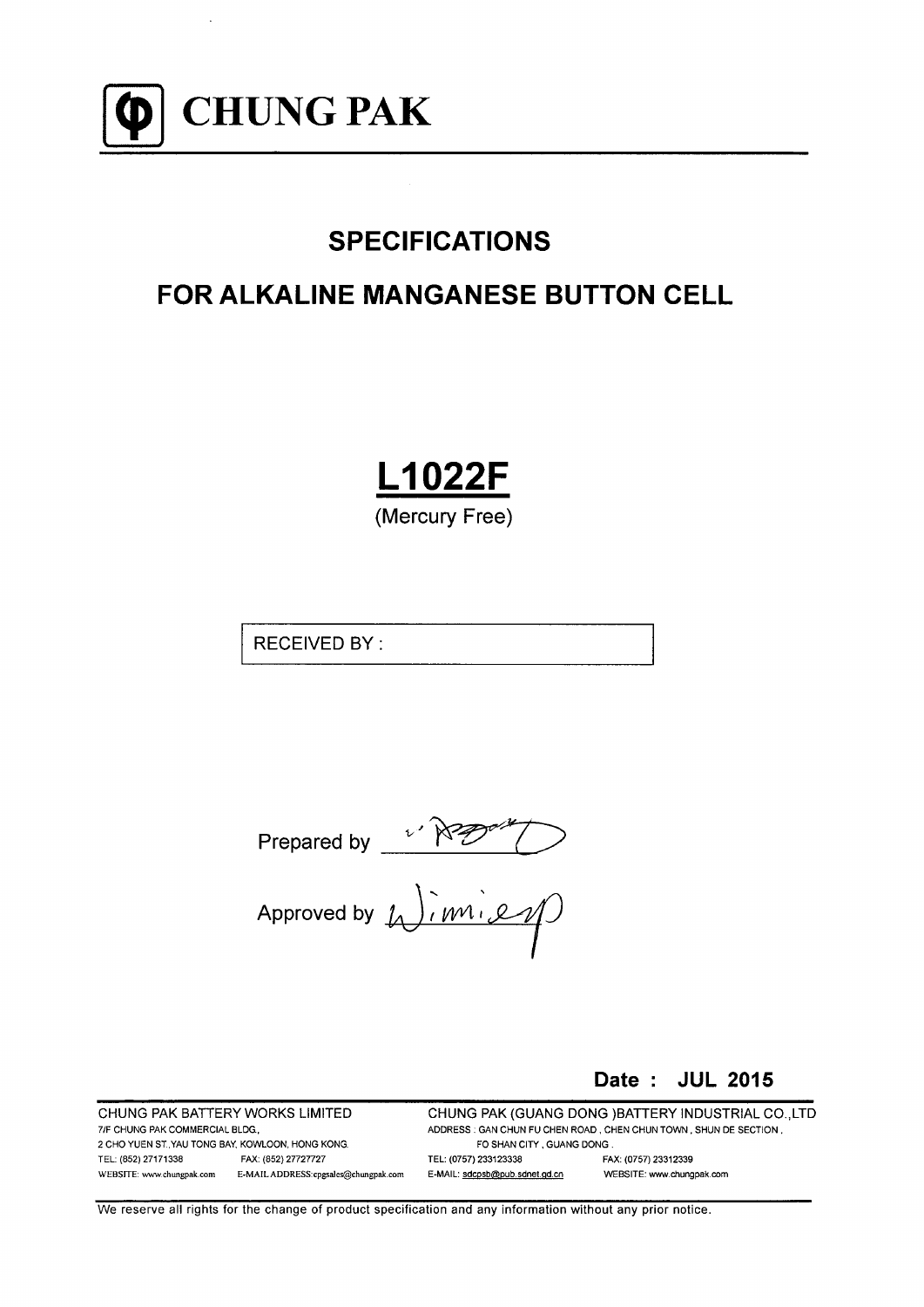

# **SPECIFICATIONS**

# **FOR ALKALINE MANGANESE BUTTON CELL**

**L1022F** 

(Mercury Free)

**RECEIVED BY:** 

Prepared by  $\sqrt{\overline{M} \cdot \overline{M}}$ <br>Approved by  $\overline{M}$ ,  $\overline{M}$ 

### Date: JUL 2015

CHUNG PAK BATTERY WORKS LIMITED 7/F CHUNG PAK COMMERCIAL BLDG, 2 CHO YUEN ST. YAU TONG BAY, KOWLOON, HONG KONG. TEL: (852) 27171338 FAX: (852) 27727727 WEBSITE: www.chungpak.com E-MAIL ADDRESS:cpgsales@chungpak.com

CHUNG PAK (GUANG DONG )BATTERY INDUSTRIAL CO., LTD ADDRESS : GAN CHUN FU CHEN ROAD, CHEN CHUN TOWN, SHUN DE SECTION, FO SHAN CITY, GUANG DONG. TEL: (0757) 233123338 FAX: (0757) 23312339 E-MAIL: sdcpsb@pub.sdnet.gd.cn WEBSITE: www.chungpak.com

We reserve all rights for the change of product specification and any information without any prior notice.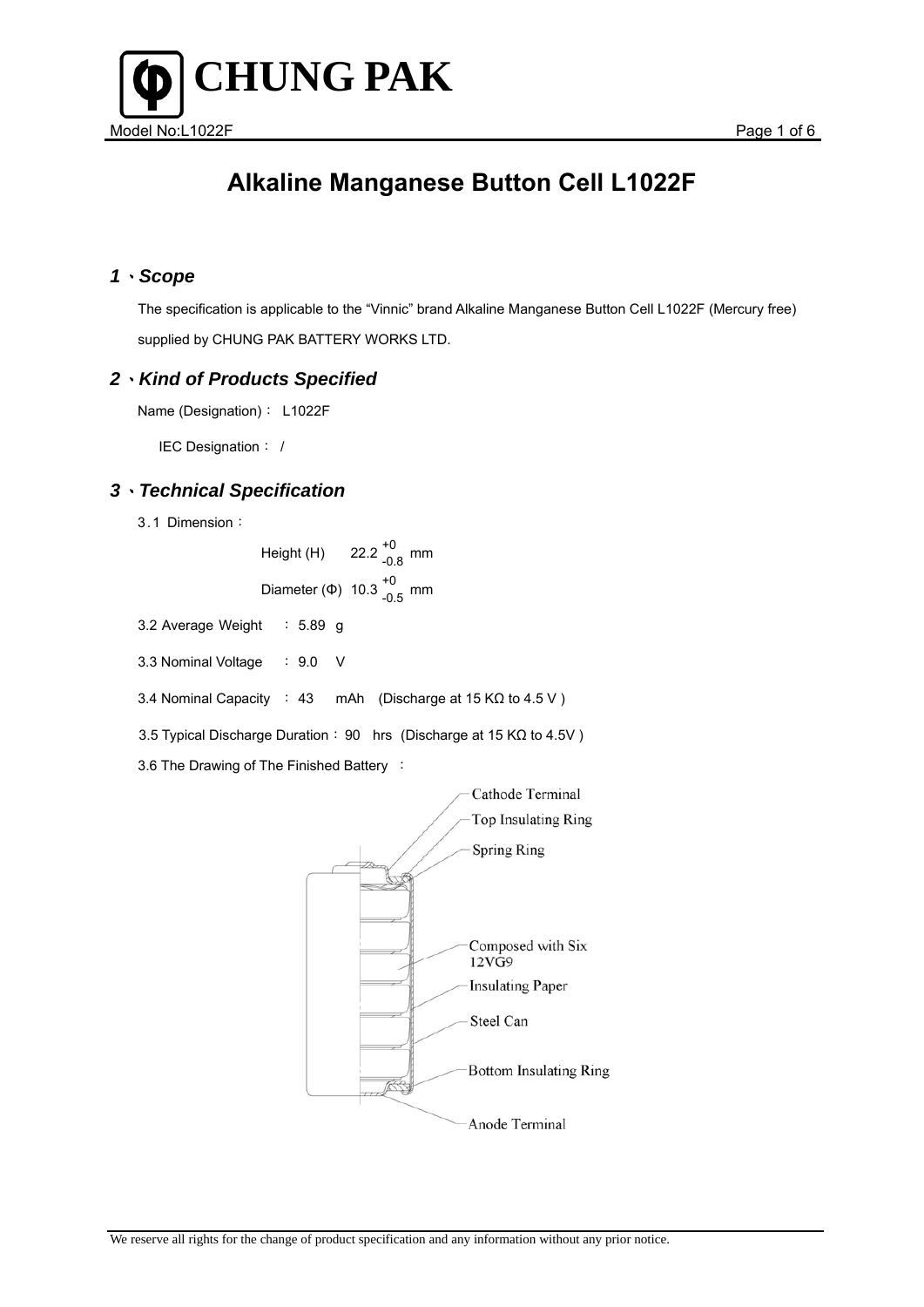

#### *1*、*Scope*

 The specification is applicable to the "Vinnic" brand Alkaline Manganese Button Cell L1022F (Mercury free) supplied by CHUNG PAK BATTERY WORKS LTD.

#### *2*、*Kind of Products Specified*

Name (Designation): L1022F

IEC Designation: /

### *3*、*Technical Specification*

3.1 Dimension:

Height  $(H)$ 22.2  $^{+0}_{-0.8}$  mm Diameter (Φ)  $10.3^{+0}_{-0.5}$  mm

- 3.2 Average Weight : 5.89 g
- 3.3 Nominal Voltage : 9.0 V
- 3.4 Nominal Capacity : 43 mAh (Discharge at 15 KΩ to 4.5 V )

3.5 Typical Discharge Duration: 90 hrs (Discharge at 15 KΩ to 4.5V )

3.6 The Drawing of The Finished Battery :

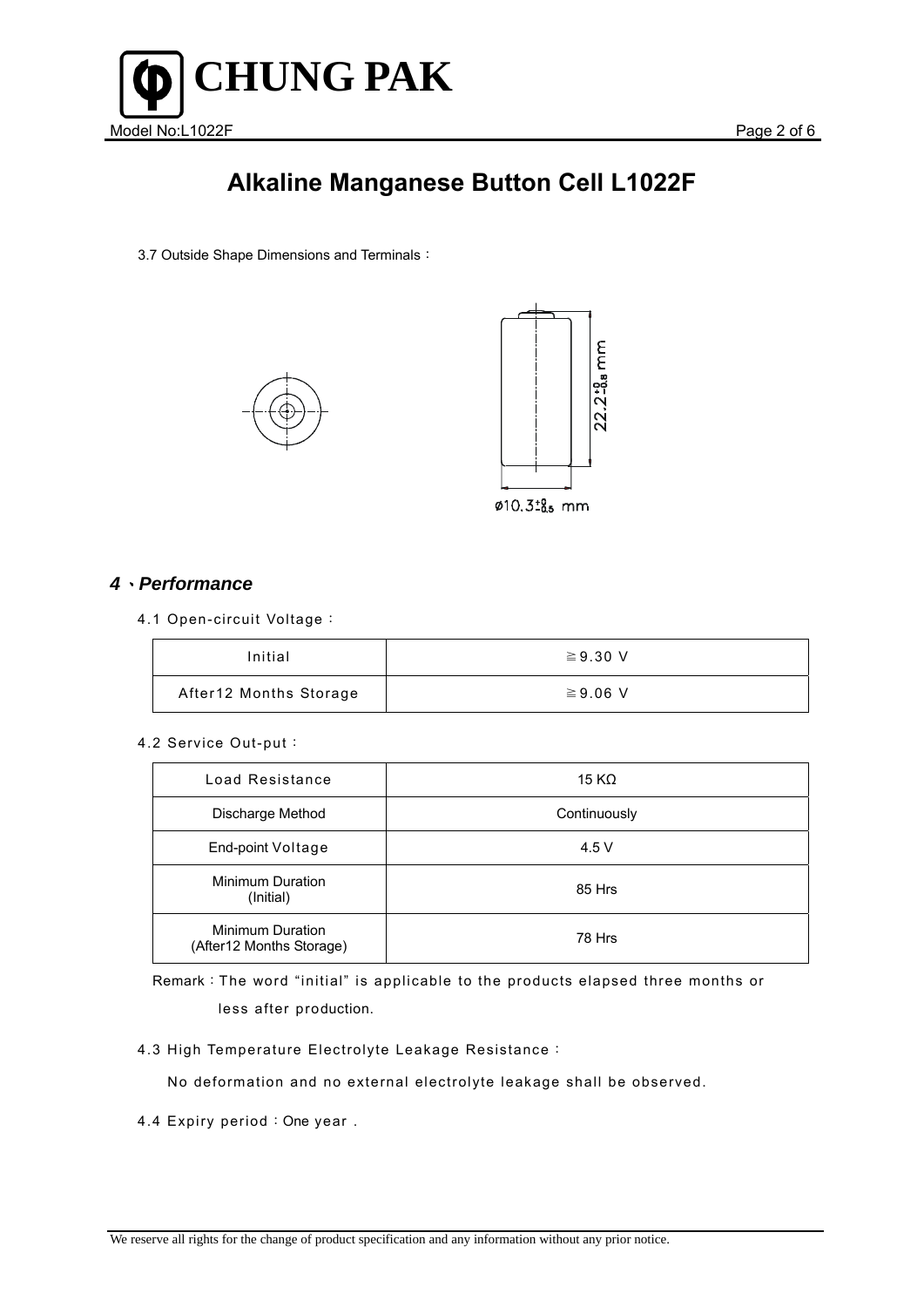

3.7 Outside Shape Dimensions and Terminals:





### *4*、*Performance*

4.1 Open-circuit Voltage:

| Initial                | $\geq$ 9.30 V |
|------------------------|---------------|
| After12 Months Storage | $\geq 9.06$ V |

#### 4.2 Service Out-put:

| Load Resistance                                     | 15 K $\Omega$ |
|-----------------------------------------------------|---------------|
| Discharge Method                                    | Continuously  |
| End-point Voltage                                   | 4.5 V         |
| <b>Minimum Duration</b><br>(Initial)                | 85 Hrs        |
| <b>Minimum Duration</b><br>(After12 Months Storage) | 78 Hrs        |

Remark:The word "initial" is applicable to the products elapsed three months or less after production.

4.3 High Temperature Electrolyte Leakage Resistance:

No deformation and no external electrolyte leakage shall be observed.

4.4 Expiry period: One year.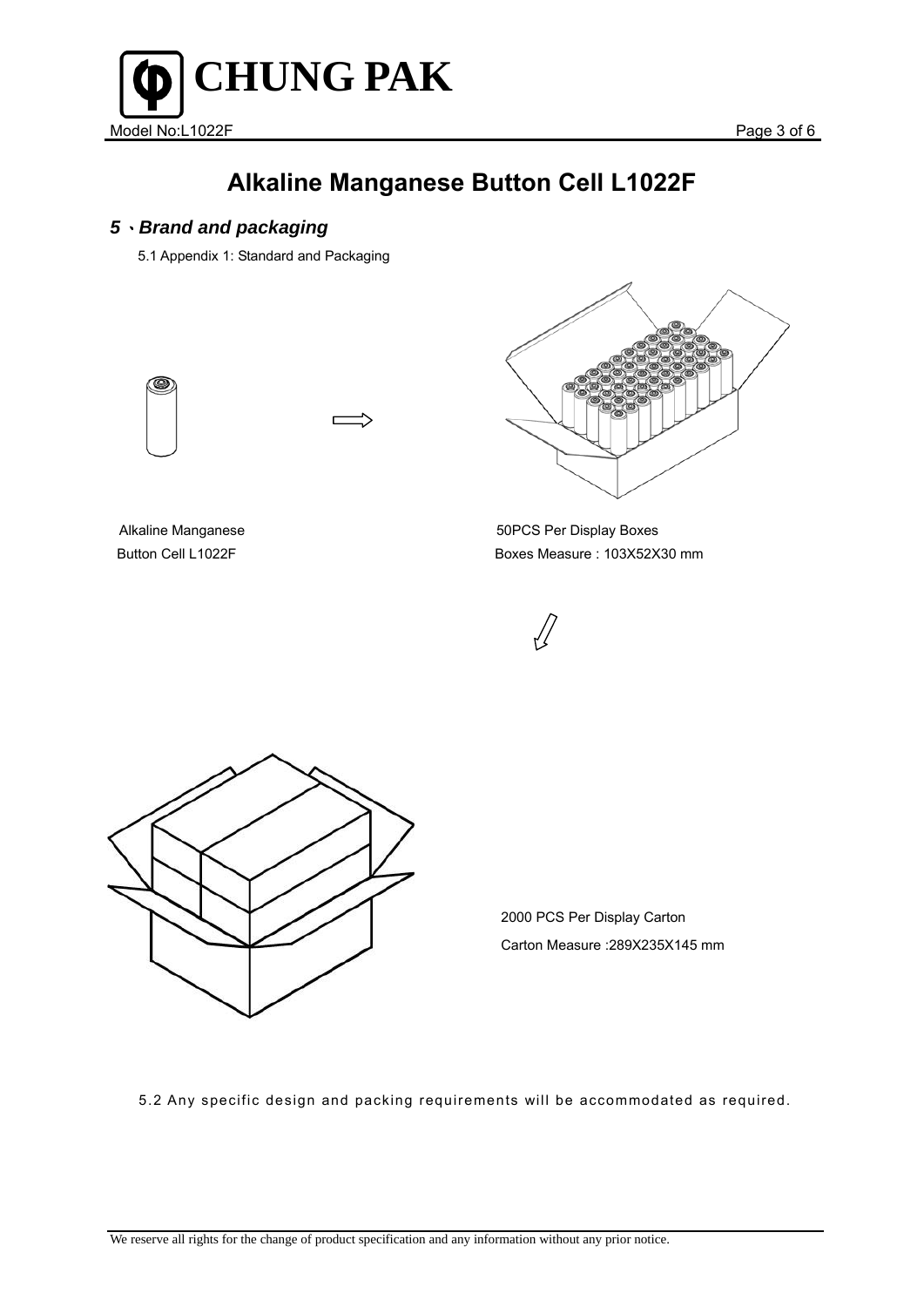

### *5*、*Brand and packaging*

5.1 Appendix 1: Standard and Packaging







Alkaline Manganese 50PCS Per Display Boxes Button Cell L1022F Boxes Measure : 103Χ52Χ30 mm





 2000 PCS Per Display Carton Carton Measure :289Χ235Χ145 mm

5.2 Any specific design and packing requirements will be accommodated as required.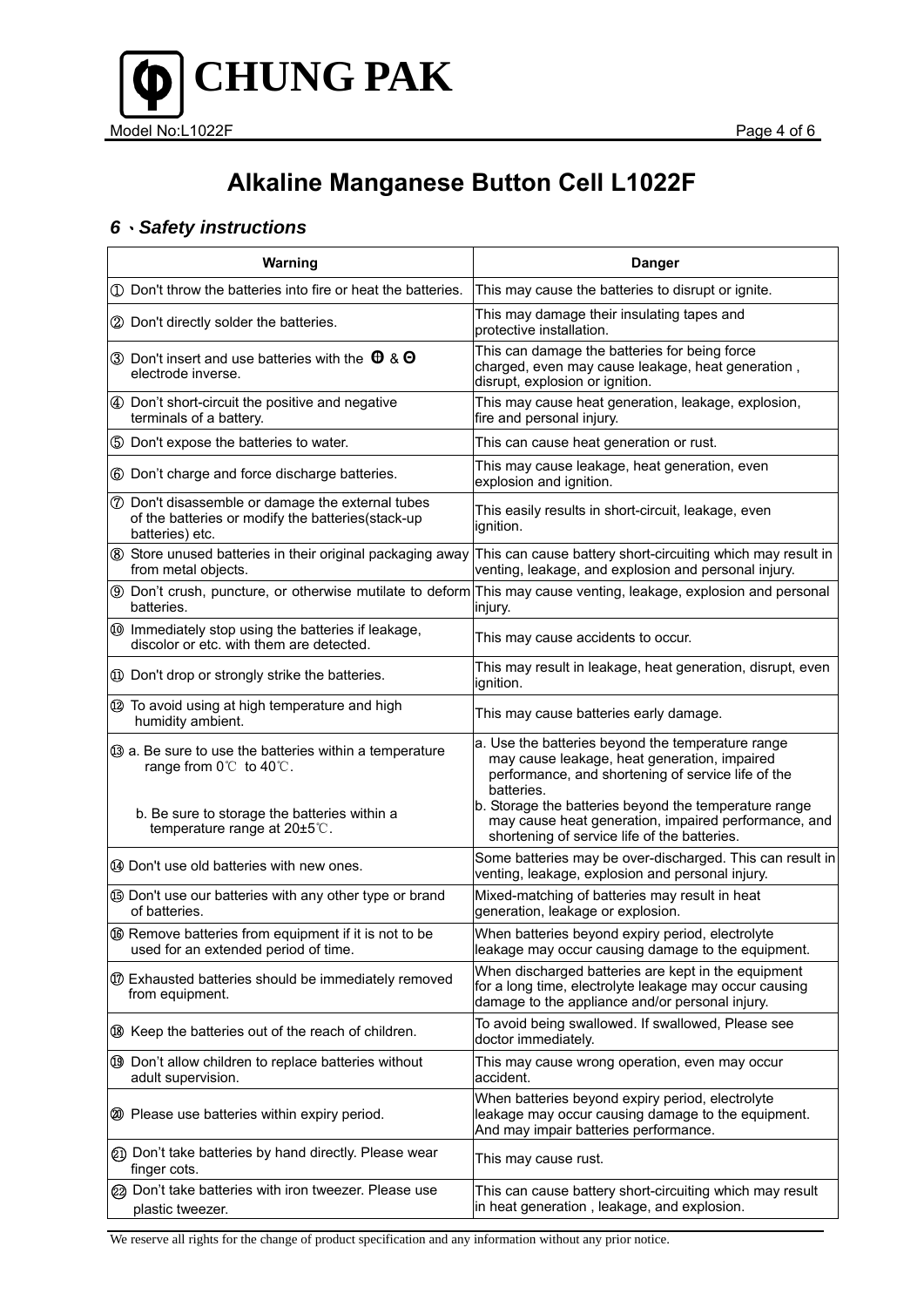

### *6*、*Safety instructions*

| Warning                                                                                                                                                               | <b>Danger</b>                                                                                                                                                                                                                                                                          |
|-----------------------------------------------------------------------------------------------------------------------------------------------------------------------|----------------------------------------------------------------------------------------------------------------------------------------------------------------------------------------------------------------------------------------------------------------------------------------|
| 1 Don't throw the batteries into fire or heat the batteries.                                                                                                          | This may cause the batteries to disrupt or ignite.                                                                                                                                                                                                                                     |
| 2 Don't directly solder the batteries.                                                                                                                                | This may damage their insulating tapes and<br>protective installation.                                                                                                                                                                                                                 |
| 3 Don't insert and use batteries with the $\theta$ & $\Theta$<br>electrode inverse.                                                                                   | This can damage the batteries for being force<br>charged, even may cause leakage, heat generation,<br>disrupt, explosion or ignition.                                                                                                                                                  |
| 4 Don't short-circuit the positive and negative<br>terminals of a battery.                                                                                            | This may cause heat generation, leakage, explosion,<br>fire and personal injury.                                                                                                                                                                                                       |
| 5 Don't expose the batteries to water.                                                                                                                                | This can cause heat generation or rust.                                                                                                                                                                                                                                                |
| 6 Don't charge and force discharge batteries.                                                                                                                         | This may cause leakage, heat generation, even<br>explosion and ignition.                                                                                                                                                                                                               |
| <b>7</b> Don't disassemble or damage the external tubes<br>of the batteries or modify the batteries(stack-up<br>batteries) etc.                                       | This easily results in short-circuit, leakage, even<br>ignition.                                                                                                                                                                                                                       |
| 8 Store unused batteries in their original packaging away<br>from metal objects.                                                                                      | This can cause battery short-circuiting which may result in<br>venting, leakage, and explosion and personal injury.                                                                                                                                                                    |
| batteries.                                                                                                                                                            | <b>9</b> Don't crush, puncture, or otherwise mutilate to deform This may cause venting, leakage, explosion and personal<br>injury.                                                                                                                                                     |
| 10 Immediately stop using the batteries if leakage,<br>discolor or etc. with them are detected.                                                                       | This may cause accidents to occur.                                                                                                                                                                                                                                                     |
| 10 Don't drop or strongly strike the batteries.                                                                                                                       | This may result in leakage, heat generation, disrupt, even<br>ignition.                                                                                                                                                                                                                |
| 12 To avoid using at high temperature and high<br>humidity ambient.                                                                                                   | This may cause batteries early damage.                                                                                                                                                                                                                                                 |
| <b>3</b> a. Be sure to use the batteries within a temperature<br>range from 0℃ to 40℃.<br>b. Be sure to storage the batteries within a<br>temperature range at 20±5℃. | a. Use the batteries beyond the temperature range<br>may cause leakage, heat generation, impaired<br>performance, and shortening of service life of the<br>batteries.<br>b. Storage the batteries beyond the temperature range<br>may cause heat generation, impaired performance, and |
| 49 Don't use old batteries with new ones.                                                                                                                             | shortening of service life of the batteries.<br>Some batteries may be over-discharged. This can result in<br>venting, leakage, explosion and personal injury.                                                                                                                          |
| <b>69 Don't use our batteries with any other type or brand</b><br>of batteries.                                                                                       | Mixed-matching of batteries may result in heat<br>generation, leakage or explosion.                                                                                                                                                                                                    |
| <b>66</b> Remove batteries from equipment if it is not to be<br>used for an extended period of time.                                                                  | When batteries beyond expiry period, electrolyte<br>leakage may occur causing damage to the equipment.                                                                                                                                                                                 |
| 10 Exhausted batteries should be immediately removed<br>from equipment.                                                                                               | When discharged batteries are kept in the equipment<br>for a long time, electrolyte leakage may occur causing<br>damage to the appliance and/or personal injury.                                                                                                                       |
| ® Keep the batteries out of the reach of children.                                                                                                                    | To avoid being swallowed. If swallowed, Please see<br>doctor immediately.                                                                                                                                                                                                              |
| 19 Don't allow children to replace batteries without<br>adult supervision.                                                                                            | This may cause wrong operation, even may occur<br>accident.                                                                                                                                                                                                                            |
| 20 Please use batteries within expiry period.                                                                                                                         | When batteries beyond expiry period, electrolyte<br>leakage may occur causing damage to the equipment.<br>And may impair batteries performance.                                                                                                                                        |
| 21) Don't take batteries by hand directly. Please wear<br>finger cots.                                                                                                | This may cause rust.                                                                                                                                                                                                                                                                   |
| 22 Don't take batteries with iron tweezer. Please use<br>plastic tweezer.                                                                                             | This can cause battery short-circuiting which may result<br>in heat generation, leakage, and explosion.                                                                                                                                                                                |

We reserve all rights for the change of product specification and any information without any prior notice.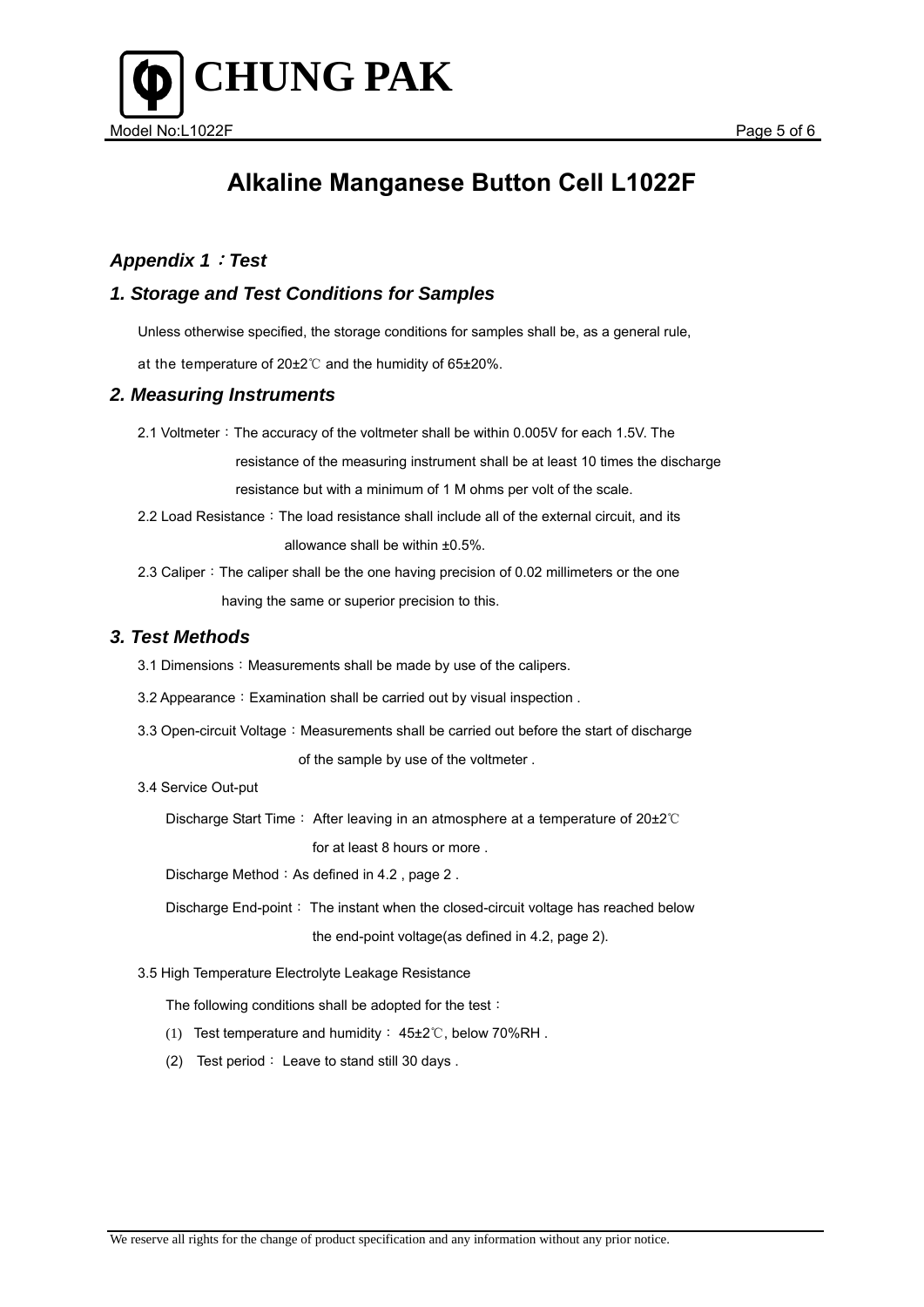



### *Appendix 1*:*Test*

#### *1. Storage and Test Conditions for Samples*

Unless otherwise specified, the storage conditions for samples shall be, as a general rule,

at the temperature of 20±2℃ and the humidity of 65±20%.

#### *2. Measuring Instruments*

2.1 Voltmeter: The accuracy of the voltmeter shall be within 0.005V for each 1.5V. The

resistance of the measuring instrument shall be at least 10 times the discharge

resistance but with a minimum of 1 M ohms per volt of the scale.

- 2.2 Load Resistance: The load resistance shall include all of the external circuit, and its allowance shall be within ±0.5%.
- 2.3 Caliper: The caliper shall be the one having precision of 0.02 millimeters or the one having the same or superior precision to this.

#### *3. Test Methods*

- 3.1 Dimensions: Measurements shall be made by use of the calipers.
- 3.2 Appearance: Examination shall be carried out by visual inspection.
- 3.3 Open-circuit Voltage: Measurements shall be carried out before the start of discharge of the sample by use of the voltmeter .

#### 3.4 Service Out-put

Discharge Start Time: After leaving in an atmosphere at a temperature of 20±2℃

for at least 8 hours or more .

Discharge Method: As defined in 4.2, page 2.

Discharge End-point: The instant when the closed-circuit voltage has reached below the end-point voltage(as defined in 4.2, page 2).

#### 3.5 High Temperature Electrolyte Leakage Resistance

The following conditions shall be adopted for the test:

- (1) Test temperature and humidity: 45±2℃, below 70%RH .
- (2) Test period: Leave to stand still 30 days .